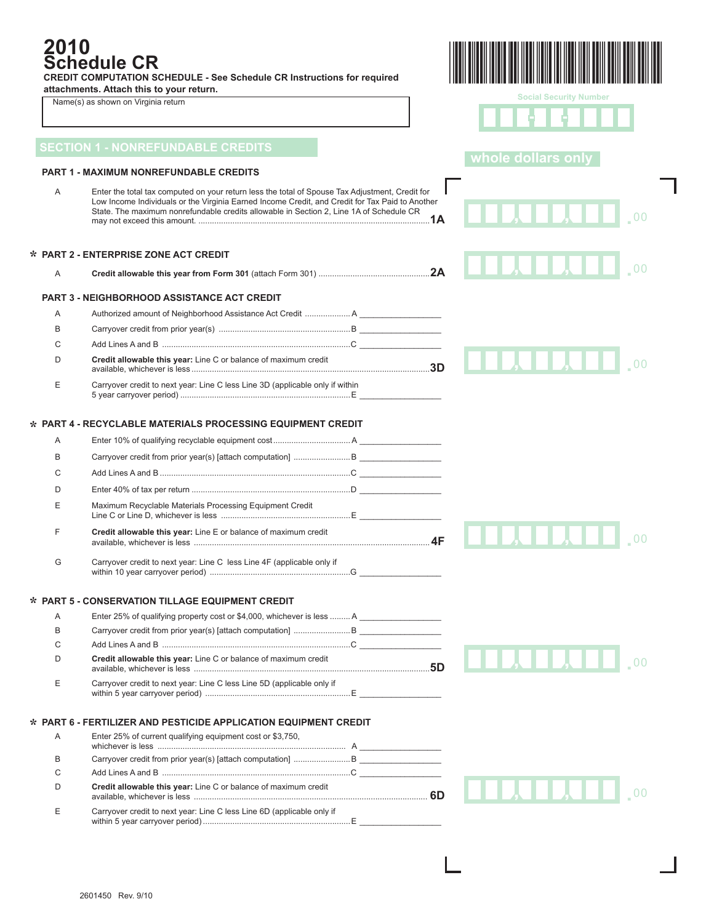# **2010 Schedule CR**

**\***

**\***

**\***

**\***

**CREDIT COMPUTATION SCHEDULE - See Schedule CR Instructions for required** 

**attachments. Attach this to your return.** 

Name(s) as shown on Virginia return

|--|

**Social Security Number** - - Т Τ

|   | <b>SECTION 1 - NONREFUNDABLE CREDITS</b>                                                                                                                                                                                                                                                      | whole dollars only |  |
|---|-----------------------------------------------------------------------------------------------------------------------------------------------------------------------------------------------------------------------------------------------------------------------------------------------|--------------------|--|
|   | <b>PART 1 - MAXIMUM NONREFUNDABLE CREDITS</b>                                                                                                                                                                                                                                                 |                    |  |
| Α | Enter the total tax computed on your return less the total of Spouse Tax Adjustment, Credit for<br>Low Income Individuals or the Virginia Earned Income Credit, and Credit for Tax Paid to Another<br>State. The maximum nonrefundable credits allowable in Section 2, Line 1A of Schedule CR |                    |  |
|   | <b>PART 2 - ENTERPRISE ZONE ACT CREDIT</b>                                                                                                                                                                                                                                                    |                    |  |
| Α |                                                                                                                                                                                                                                                                                               |                    |  |
|   | <b>PART 3 - NEIGHBORHOOD ASSISTANCE ACT CREDIT</b>                                                                                                                                                                                                                                            |                    |  |
| Α |                                                                                                                                                                                                                                                                                               |                    |  |
| B |                                                                                                                                                                                                                                                                                               |                    |  |
| С |                                                                                                                                                                                                                                                                                               |                    |  |
| D | Credit allowable this year: Line C or balance of maximum credit                                                                                                                                                                                                                               |                    |  |
| Е | Carryover credit to next year: Line C less Line 3D (applicable only if within<br>5 year carryover period) …………………………………………………………………E                                                                                                                                                          |                    |  |
|   | <b>PART 4 - RECYCLABLE MATERIALS PROCESSING EQUIPMENT CREDIT</b>                                                                                                                                                                                                                              |                    |  |
| A |                                                                                                                                                                                                                                                                                               |                    |  |
| B |                                                                                                                                                                                                                                                                                               |                    |  |
| С |                                                                                                                                                                                                                                                                                               |                    |  |
| D |                                                                                                                                                                                                                                                                                               |                    |  |
| E | Maximum Recyclable Materials Processing Equipment Credit                                                                                                                                                                                                                                      |                    |  |
| F | Credit allowable this year: Line E or balance of maximum credit                                                                                                                                                                                                                               |                    |  |
| G | Carryover credit to next year: Line C less Line 4F (applicable only if                                                                                                                                                                                                                        |                    |  |
|   | <b>PART 5 - CONSERVATION TILLAGE EQUIPMENT CREDIT</b>                                                                                                                                                                                                                                         |                    |  |
| Α | Enter 25% of qualifying property cost or \$4,000, whichever is less  A                                                                                                                                                                                                                        |                    |  |
| B |                                                                                                                                                                                                                                                                                               |                    |  |
| С |                                                                                                                                                                                                                                                                                               |                    |  |
| D | Credit allowable this year: Line C or balance of maximum credit                                                                                                                                                                                                                               |                    |  |
| Е | Carryover credit to next year: Line C less Line 5D (applicable only if                                                                                                                                                                                                                        |                    |  |
|   | <b>PART 6 - FERTILIZER AND PESTICIDE APPLICATION EQUIPMENT CREDIT</b>                                                                                                                                                                                                                         |                    |  |
| A | Enter 25% of current qualifying equipment cost or \$3,750.                                                                                                                                                                                                                                    |                    |  |
| B |                                                                                                                                                                                                                                                                                               |                    |  |
| C |                                                                                                                                                                                                                                                                                               |                    |  |
| D | Credit allowable this year: Line C or balance of maximum credit                                                                                                                                                                                                                               | <b>TATTI</b> 100   |  |
| Е | Carryover credit to next year: Line C less Line 6D (applicable only if                                                                                                                                                                                                                        |                    |  |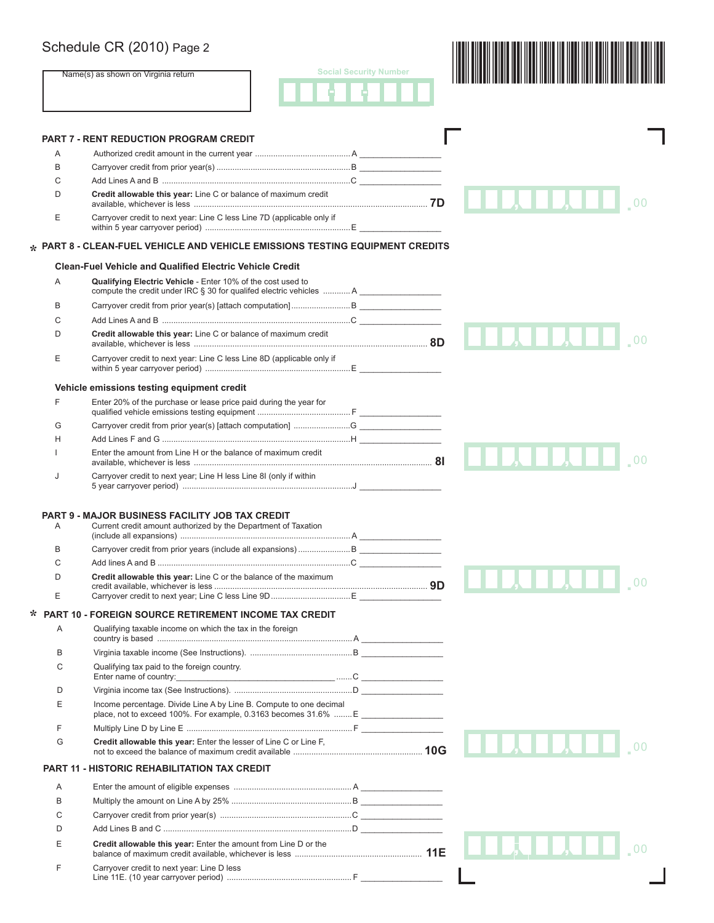## Schedule CR (2010) Page 2

|        | Schedule CR (2010) Page 2                                                                                                                              |                               |                |
|--------|--------------------------------------------------------------------------------------------------------------------------------------------------------|-------------------------------|----------------|
|        | Name(s) as shown on Virginia return                                                                                                                    | <b>Social Security Number</b> |                |
|        |                                                                                                                                                        |                               |                |
|        | <b>PART 7 - RENT REDUCTION PROGRAM CREDIT</b>                                                                                                          |                               |                |
| A      |                                                                                                                                                        |                               |                |
| B      |                                                                                                                                                        |                               |                |
| С      |                                                                                                                                                        |                               |                |
| D      | Credit allowable this year: Line C or balance of maximum credit                                                                                        |                               |                |
| E      | Carryover credit to next year: Line C less Line 7D (applicable only if                                                                                 |                               |                |
|        | $\star$ PART 8 - CLEAN-FUEL VEHICLE AND VEHICLE EMISSIONS TESTING EQUIPMENT CREDITS                                                                    |                               |                |
|        | <b>Clean-Fuel Vehicle and Qualified Electric Vehicle Credit</b>                                                                                        |                               |                |
| Α      | Qualifying Electric Vehicle - Enter 10% of the cost used to<br>compute the credit under IRC § 30 for qualifed electric vehicles  A                     |                               |                |
| В      |                                                                                                                                                        |                               |                |
| С      |                                                                                                                                                        |                               |                |
| D      | Credit allowable this year: Line C or balance of maximum credit                                                                                        |                               |                |
| E      | Carryover credit to next year: Line C less Line 8D (applicable only if                                                                                 |                               |                |
|        | Vehicle emissions testing equipment credit                                                                                                             |                               |                |
| F      | Enter 20% of the purchase or lease price paid during the year for                                                                                      |                               |                |
| G      |                                                                                                                                                        |                               |                |
| н      |                                                                                                                                                        |                               |                |
|        | Enter the amount from Line H or the balance of maximum credit                                                                                          |                               |                |
| J      | Carryover credit to next year; Line H less Line 8I (only if within                                                                                     |                               |                |
| A      | <b>PART 9 - MAJOR BUSINESS FACILITY JOB TAX CREDIT</b><br>Current credit amount authorized by the Department of Taxation                               |                               |                |
| B      |                                                                                                                                                        |                               |                |
| C      |                                                                                                                                                        |                               |                |
| D      | Credit allowable this year: Line C or the balance of the maximum                                                                                       |                               | 0 <sup>0</sup> |
| E      |                                                                                                                                                        |                               |                |
| $\ast$ | <b>PART 10 - FOREIGN SOURCE RETIREMENT INCOME TAX CREDIT</b>                                                                                           |                               |                |
| Α      | Qualifying taxable income on which the tax in the foreign                                                                                              |                               |                |
| B      |                                                                                                                                                        |                               |                |
| C      | Qualifying tax paid to the foreign country.                                                                                                            |                               |                |
|        |                                                                                                                                                        |                               |                |
| D      |                                                                                                                                                        |                               |                |
| E      | Income percentage. Divide Line A by Line B. Compute to one decimal<br>place, not to exceed 100%. For example, 0.3163 becomes 31.6%  E ________________ |                               |                |
| F      |                                                                                                                                                        |                               |                |
| G      | Credit allowable this year: Enter the lesser of Line C or Line F,                                                                                      |                               |                |
|        | <b>PART 11 - HISTORIC REHABILITATION TAX CREDIT</b>                                                                                                    |                               |                |
| Α      |                                                                                                                                                        |                               |                |
| B      |                                                                                                                                                        |                               |                |
| С      |                                                                                                                                                        |                               |                |
| D      |                                                                                                                                                        |                               |                |
| E      | Credit allowable this year: Enter the amount from Line D or the                                                                                        |                               |                |
| F      | Carryover credit to next year: Line D less                                                                                                             |                               |                |
|        |                                                                                                                                                        |                               |                |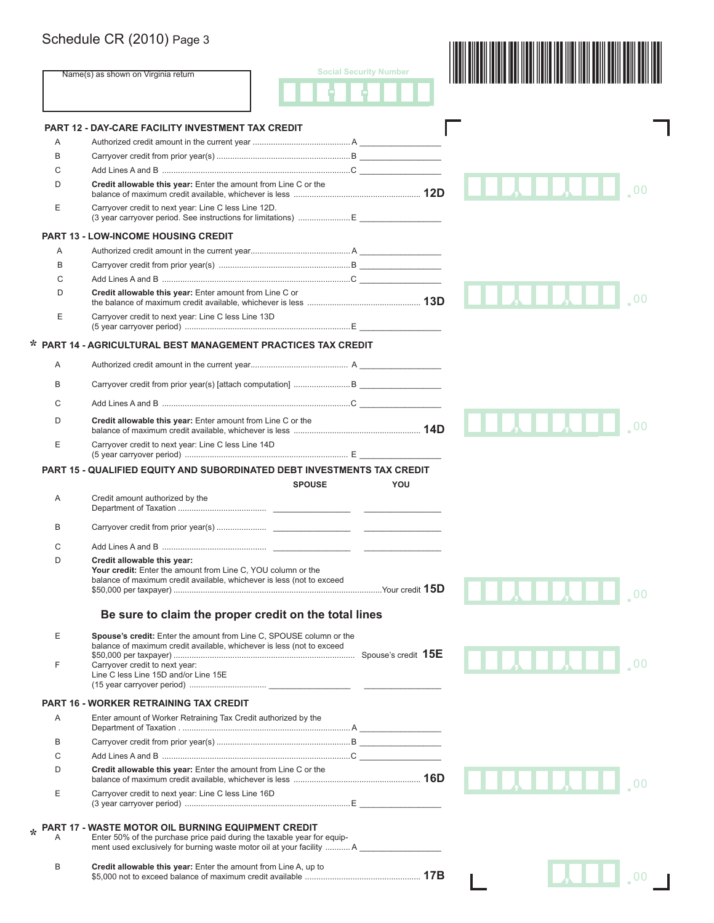|        | Schedule CR (2010) Page 3                                                                                                                                                                              |                               |  |
|--------|--------------------------------------------------------------------------------------------------------------------------------------------------------------------------------------------------------|-------------------------------|--|
|        | Name(s) as shown on Virginia return                                                                                                                                                                    | <b>Social Security Number</b> |  |
|        |                                                                                                                                                                                                        |                               |  |
|        | <b>PART 12 - DAY-CARE FACILITY INVESTMENT TAX CREDIT</b>                                                                                                                                               |                               |  |
| A      |                                                                                                                                                                                                        |                               |  |
| В      |                                                                                                                                                                                                        |                               |  |
| С      |                                                                                                                                                                                                        |                               |  |
| D      | Credit allowable this year: Enter the amount from Line C or the                                                                                                                                        |                               |  |
| Е      | Carryover credit to next year: Line C less Line 12D.                                                                                                                                                   |                               |  |
|        | <b>PART 13 - LOW-INCOME HOUSING CREDIT</b>                                                                                                                                                             |                               |  |
| Α      |                                                                                                                                                                                                        |                               |  |
| B      |                                                                                                                                                                                                        |                               |  |
| C      |                                                                                                                                                                                                        |                               |  |
| D      | Credit allowable this year: Enter amount from Line C or                                                                                                                                                |                               |  |
| E      | Carryover credit to next year: Line C less Line 13D                                                                                                                                                    |                               |  |
|        | * PART 14 - AGRICULTURAL BEST MANAGEMENT PRACTICES TAX CREDIT                                                                                                                                          |                               |  |
| A      |                                                                                                                                                                                                        |                               |  |
| B      |                                                                                                                                                                                                        |                               |  |
| C      |                                                                                                                                                                                                        |                               |  |
| D      | Credit allowable this year: Enter amount from Line C or the                                                                                                                                            |                               |  |
| E      | Carryover credit to next year: Line C less Line 14D                                                                                                                                                    |                               |  |
|        | PART 15 - QUALIFIED EQUITY AND SUBORDINATED DEBT INVESTMENTS TAX CREDIT                                                                                                                                |                               |  |
|        | <b>SPOUSE</b>                                                                                                                                                                                          | YOU                           |  |
| Α      | Credit amount authorized by the                                                                                                                                                                        |                               |  |
| B      |                                                                                                                                                                                                        |                               |  |
| C      |                                                                                                                                                                                                        |                               |  |
| D      | Credit allowable this year:<br>Your credit: Enter the amount from Line C, YOU column or the<br>balance of maximum credit available, whichever is less (not to exceed                                   |                               |  |
|        | Be sure to claim the proper credit on the total lines                                                                                                                                                  |                               |  |
| Е      | Spouse's credit: Enter the amount from Line C, SPOUSE column or the                                                                                                                                    |                               |  |
|        | balance of maximum credit available, whichever is less (not to exceed                                                                                                                                  |                               |  |
| F      | Carryover credit to next year:<br>Line C less Line 15D and/or Line 15E                                                                                                                                 |                               |  |
|        | <b>PART 16 - WORKER RETRAINING TAX CREDIT</b>                                                                                                                                                          |                               |  |
|        |                                                                                                                                                                                                        |                               |  |
| A      | Enter amount of Worker Retraining Tax Credit authorized by the                                                                                                                                         |                               |  |
|        |                                                                                                                                                                                                        |                               |  |
| В      |                                                                                                                                                                                                        |                               |  |
| С<br>D | Credit allowable this year: Enter the amount from Line C or the                                                                                                                                        |                               |  |
| Е      | Carryover credit to next year: Line C less Line 16D                                                                                                                                                    |                               |  |
|        |                                                                                                                                                                                                        |                               |  |
| Α      | PART 17 - WASTE MOTOR OIL BURNING EQUIPMENT CREDIT<br>Enter 50% of the purchase price paid during the taxable year for equip-<br>ment used exclusively for burning waste motor oil at your facility  A |                               |  |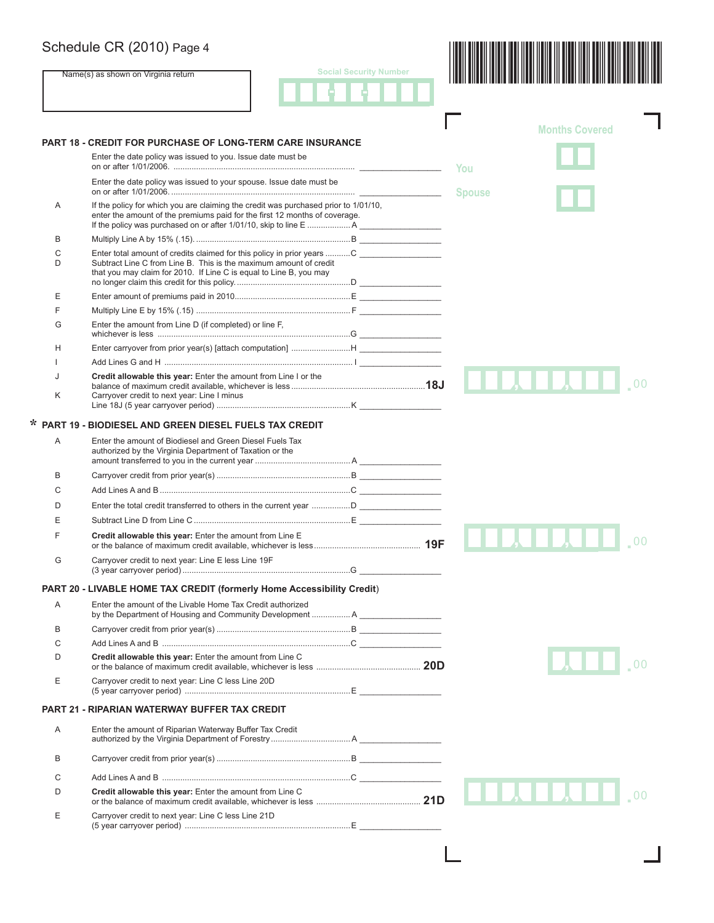Name(s) as shown on Virginia return





|   | <b>PART 18 - CREDIT FOR PURCHASE OF LONG-TERM CARE INSURANCE</b>                                                                                                  | <b>Months Covered</b> |
|---|-------------------------------------------------------------------------------------------------------------------------------------------------------------------|-----------------------|
|   | Enter the date policy was issued to you. Issue date must be                                                                                                       | You                   |
|   | Enter the date policy was issued to your spouse. Issue date must be                                                                                               | <b>Spouse</b>         |
| Α | If the policy for which you are claiming the credit was purchased prior to 1/01/10,<br>enter the amount of the premiums paid for the first 12 months of coverage. |                       |
| В |                                                                                                                                                                   |                       |
| C |                                                                                                                                                                   |                       |
| D | Subtract Line C from Line B. This is the maximum amount of credit<br>that you may claim for 2010. If Line C is equal to Line B, you may                           |                       |
| Ε |                                                                                                                                                                   |                       |
| F |                                                                                                                                                                   |                       |
| G | Enter the amount from Line D (if completed) or line F.                                                                                                            |                       |
| Н |                                                                                                                                                                   |                       |
| ı |                                                                                                                                                                   |                       |
| J | Credit allowable this year: Enter the amount from Line I or the                                                                                                   | <b>LIAILL</b>         |
| K | Carryover credit to next year: Line I minus                                                                                                                       |                       |
|   | <b>PART 19 - BIODIESEL AND GREEN DIESEL FUELS TAX CREDIT</b>                                                                                                      |                       |
| Α | Enter the amount of Biodiesel and Green Diesel Fuels Tax<br>authorized by the Virginia Department of Taxation or the                                              |                       |
| В |                                                                                                                                                                   |                       |
| C |                                                                                                                                                                   |                       |
|   |                                                                                                                                                                   |                       |
| D |                                                                                                                                                                   |                       |
| Ε |                                                                                                                                                                   |                       |
| F | Credit allowable this year: Enter the amount from Line E                                                                                                          |                       |
| G | Carryover credit to next year: Line E less Line 19F                                                                                                               |                       |
|   | PART 20 - LIVABLE HOME TAX CREDIT (formerly Home Accessibility Credit)                                                                                            |                       |
| Α | Enter the amount of the Livable Home Tax Credit authorized<br>by the Department of Housing and Community Development  A                                           |                       |
| B |                                                                                                                                                                   |                       |
| C |                                                                                                                                                                   |                       |
| D | Credit allowable this year: Enter the amount from Line C                                                                                                          |                       |
| Ε | Carryover credit to next year: Line C less Line 20D                                                                                                               |                       |
|   | <b>PART 21 - RIPARIAN WATERWAY BUFFER TAX CREDIT</b>                                                                                                              |                       |
| A | Enter the amount of Riparian Waterway Buffer Tax Credit                                                                                                           |                       |
|   |                                                                                                                                                                   |                       |
| В |                                                                                                                                                                   |                       |
| C |                                                                                                                                                                   |                       |
| D | Credit allowable this year: Enter the amount from Line C                                                                                                          |                       |
|   |                                                                                                                                                                   |                       |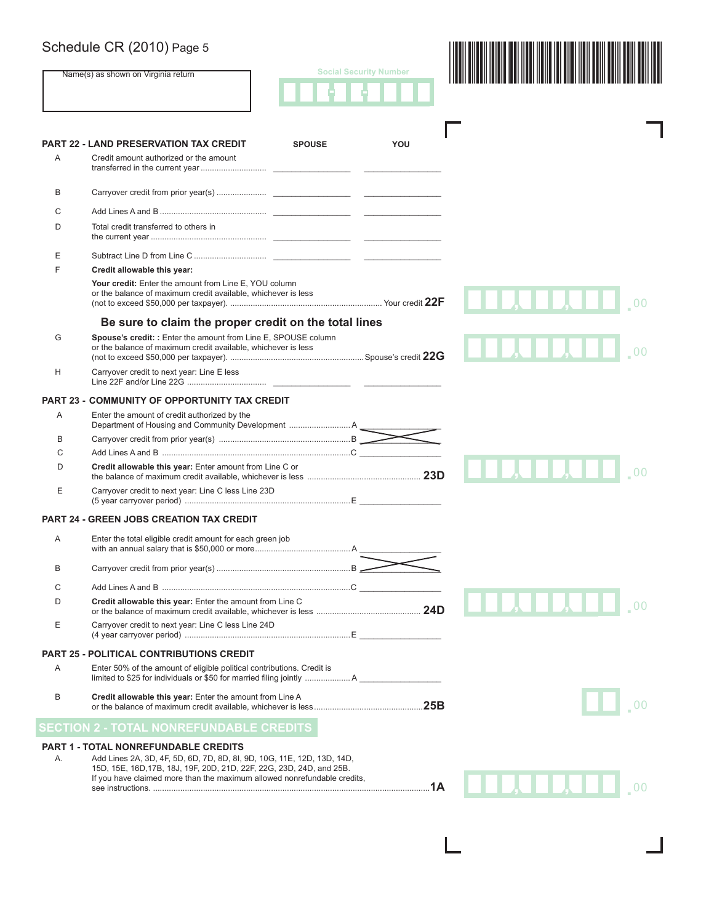Name(s) as shown on Virginia return

|  | <b>Social Security Number</b> |  |
|--|-------------------------------|--|
|  |                               |  |



| A  | <b>PART 22 - LAND PRESERVATION TAX CREDIT</b><br><b>SPOUSE</b><br>Credit amount authorized or the amount                                                                                                                                                           | YOU |                                                                              |
|----|--------------------------------------------------------------------------------------------------------------------------------------------------------------------------------------------------------------------------------------------------------------------|-----|------------------------------------------------------------------------------|
| B  |                                                                                                                                                                                                                                                                    |     |                                                                              |
| С  |                                                                                                                                                                                                                                                                    |     |                                                                              |
| D  | Total credit transferred to others in                                                                                                                                                                                                                              |     |                                                                              |
| Ε  |                                                                                                                                                                                                                                                                    |     |                                                                              |
| F  | Credit allowable this year:                                                                                                                                                                                                                                        |     |                                                                              |
|    | Your credit: Enter the amount from Line E, YOU column<br>or the balance of maximum credit available, whichever is less                                                                                                                                             |     |                                                                              |
|    | Be sure to claim the proper credit on the total lines                                                                                                                                                                                                              |     |                                                                              |
| G  | Spouse's credit: : Enter the amount from Line E, SPOUSE column<br>or the balance of maximum credit available, whichever is less                                                                                                                                    |     |                                                                              |
| H  | Carryover credit to next year: Line E less                                                                                                                                                                                                                         |     |                                                                              |
|    | <b>PART 23 - COMMUNITY OF OPPORTUNITY TAX CREDIT</b>                                                                                                                                                                                                               |     |                                                                              |
| Α  | Enter the amount of credit authorized by the                                                                                                                                                                                                                       |     |                                                                              |
| B  |                                                                                                                                                                                                                                                                    |     |                                                                              |
|    |                                                                                                                                                                                                                                                                    |     |                                                                              |
| D  | Credit allowable this year: Enter amount from Line C or                                                                                                                                                                                                            |     | 1   J. 1   1                                                                 |
| Ε  | Carryover credit to next year: Line C less Line 23D                                                                                                                                                                                                                |     |                                                                              |
|    | <b>PART 24 - GREEN JOBS CREATION TAX CREDIT</b>                                                                                                                                                                                                                    |     |                                                                              |
| Α  | Enter the total eligible credit amount for each green job                                                                                                                                                                                                          |     |                                                                              |
| B  |                                                                                                                                                                                                                                                                    |     |                                                                              |
| C  |                                                                                                                                                                                                                                                                    |     |                                                                              |
| D  | Credit allowable this year: Enter the amount from Line C                                                                                                                                                                                                           |     |                                                                              |
| Е  | Carryover credit to next year: Line C less Line 24D                                                                                                                                                                                                                |     |                                                                              |
|    | <b>PART 25 - POLITICAL CONTRIBUTIONS CREDIT</b>                                                                                                                                                                                                                    |     |                                                                              |
| Α  | Enter 50% of the amount of eligible political contributions. Credit is                                                                                                                                                                                             |     |                                                                              |
| B  | Credit allowable this year: Enter the amount from Line A                                                                                                                                                                                                           |     |                                                                              |
|    | <b>SECTION 2 - TOTAL NONREFUNDABLE CREDITS</b>                                                                                                                                                                                                                     |     |                                                                              |
| А. | PART 1 - TOTAL NONREFUNDABLE CREDITS<br>Add Lines 2A, 3D, 4F, 5D, 6D, 7D, 8D, 8I, 9D, 10G, 11E, 12D, 13D, 14D,<br>15D, 15E, 16D, 17B, 18J, 19F, 20D, 21D, 22F, 22G, 23D, 24D, and 25B.<br>If you have claimed more than the maximum allowed nonrefundable credits, |     | $\blacksquare$ , $\blacksquare$ , $\blacksquare$ , $\blacksquare$ , $\ldots$ |

L.

 $\mathbb{R}$